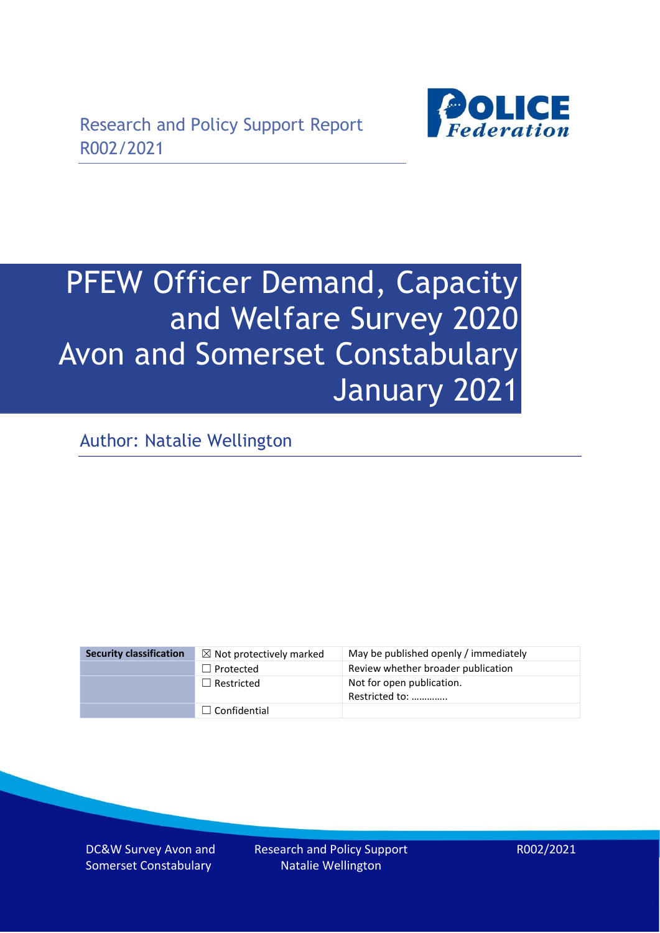

# PFEW Officer Demand, Capacity and Welfare Survey 2020 Avon and Somerset Constabulary January 2021

Author: Natalie Wellington

| <b>Security classification</b> | $\boxtimes$ Not protectively marked | May be published openly / immediately       |
|--------------------------------|-------------------------------------|---------------------------------------------|
|                                | $\Box$ Protected                    | Review whether broader publication          |
|                                | $\Box$ Restricted                   | Not for open publication.<br>Restricted to: |
|                                | $\Box$ Confidential                 |                                             |

DC&W Survey Avon and Somerset Constabulary

Research and Policy Support Natalie Wellington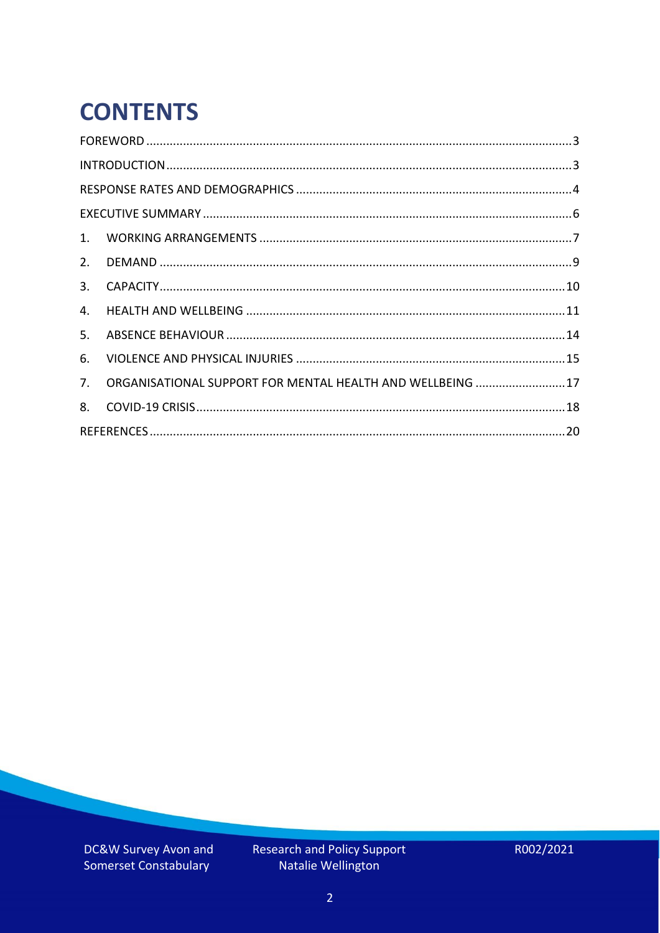# **CONTENTS**

| 3.          |                                                           |  |
|-------------|-----------------------------------------------------------|--|
| 4.          |                                                           |  |
| 5.          |                                                           |  |
| 6.          |                                                           |  |
| $7_{\cdot}$ | ORGANISATIONAL SUPPORT FOR MENTAL HEALTH AND WELLBEING 17 |  |
| 8.          |                                                           |  |
|             |                                                           |  |

DC&W Survey Avon and Somerset Constabulary

Research and Policy Support<br>Natalie Wellington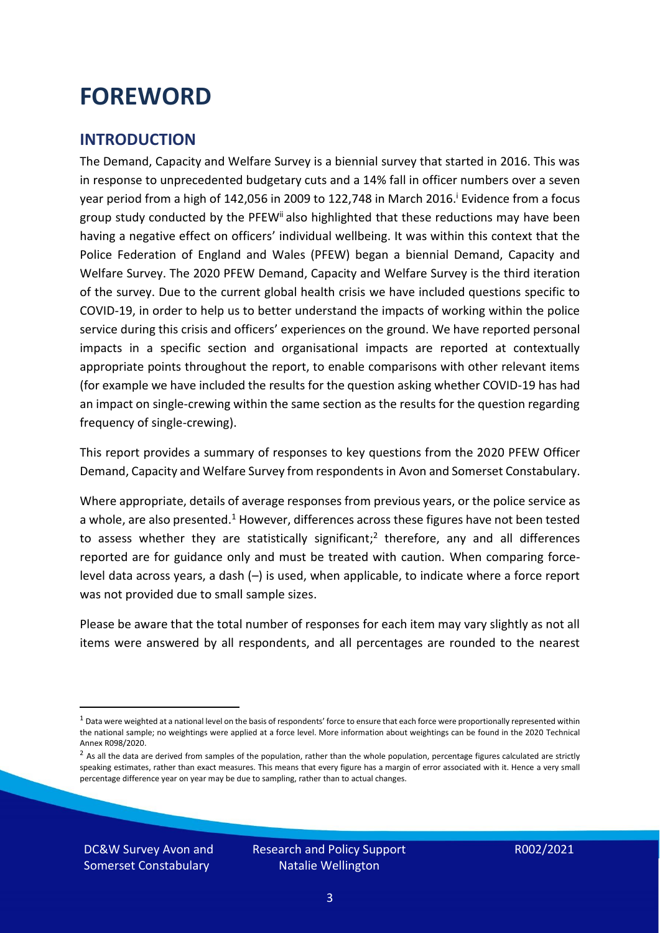### <span id="page-2-0"></span>**FOREWORD**

#### <span id="page-2-1"></span>**INTRODUCTION**

The Demand, Capacity and Welfare Survey is a biennial survey that started in 2016. This was in response to unprecedented budgetary cuts and a 14% fall in officer numbers over a seven year period from a high of 142,056 in 2009 to 122,748 in March 2016. <sup>i</sup> Evidence from a focus group study conducted by the PFEW<sup>ii</sup> also highlighted that these reductions may have been having a negative effect on officers' individual wellbeing. It was within this context that the Police Federation of England and Wales (PFEW) began a biennial Demand, Capacity and Welfare Survey. The 2020 PFEW Demand, Capacity and Welfare Survey is the third iteration of the survey. Due to the current global health crisis we have included questions specific to COVID-19, in order to help us to better understand the impacts of working within the police service during this crisis and officers' experiences on the ground. We have reported personal impacts in a specific section and organisational impacts are reported at contextually appropriate points throughout the report, to enable comparisons with other relevant items (for example we have included the results for the question asking whether COVID-19 has had an impact on single-crewing within the same section as the results for the question regarding frequency of single-crewing).

This report provides a summary of responses to key questions from the 2020 PFEW Officer Demand, Capacity and Welfare Survey from respondents in Avon and Somerset Constabulary.

Where appropriate, details of average responses from previous years, or the police service as a whole, are also presented.<sup>1</sup> However, differences across these figures have not been tested to assess whether they are statistically significant;<sup>2</sup> therefore, any and all differences reported are for guidance only and must be treated with caution. When comparing forcelevel data across years, a dash (–) is used, when applicable, to indicate where a force report was not provided due to small sample sizes.

Please be aware that the total number of responses for each item may vary slightly as not all items were answered by all respondents, and all percentages are rounded to the nearest

DC&W Survey Avon and Somerset Constabulary

 $1$  Data were weighted at a national level on the basis of respondents' force to ensure that each force were proportionally represented within the national sample; no weightings were applied at a force level. More information about weightings can be found in the 2020 Technical Annex R098/2020.

 $2$  As all the data are derived from samples of the population, rather than the whole population, percentage figures calculated are strictly speaking estimates, rather than exact measures. This means that every figure has a margin of error associated with it. Hence a very small percentage difference year on year may be due to sampling, rather than to actual changes.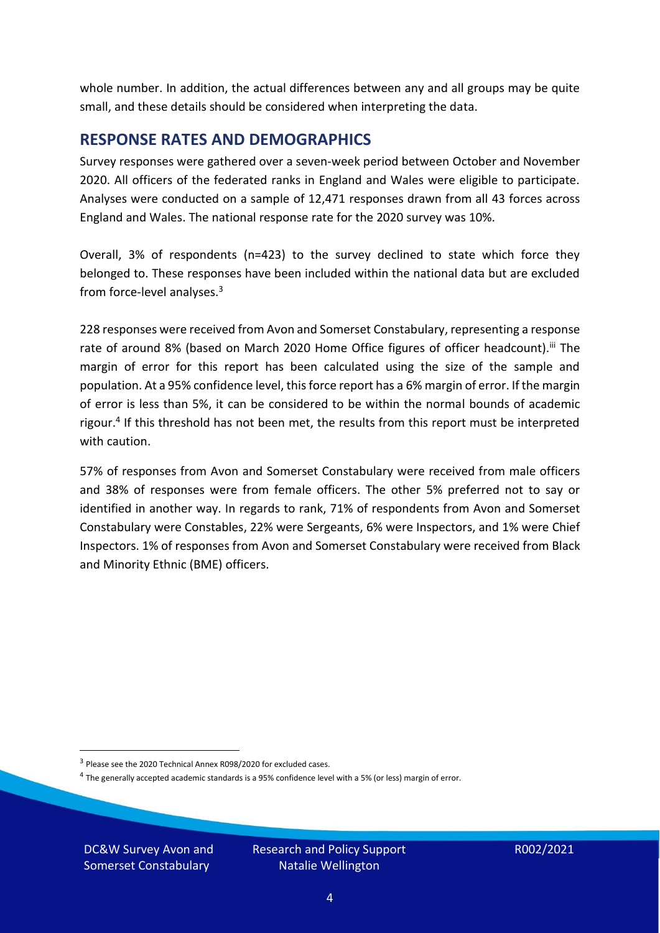whole number. In addition, the actual differences between any and all groups may be quite small, and these details should be considered when interpreting the data.

#### <span id="page-3-0"></span>**RESPONSE RATES AND DEMOGRAPHICS**

Survey responses were gathered over a seven-week period between October and November 2020. All officers of the federated ranks in England and Wales were eligible to participate. Analyses were conducted on a sample of 12,471 responses drawn from all 43 forces across England and Wales. The national response rate for the 2020 survey was 10%.

Overall, 3% of respondents (n=423) to the survey declined to state which force they belonged to. These responses have been included within the national data but are excluded from force-level analyses.<sup>3</sup>

228 responses were received from Avon and Somerset Constabulary, representing a response rate of around 8% (based on March 2020 Home Office figures of officer headcount).<sup>iii</sup> The margin of error for this report has been calculated using the size of the sample and population. At a 95% confidence level, this force report has a 6% margin of error. If the margin of error is less than 5%, it can be considered to be within the normal bounds of academic rigour.<sup>4</sup> If this threshold has not been met, the results from this report must be interpreted with caution.

57% of responses from Avon and Somerset Constabulary were received from male officers and 38% of responses were from female officers. The other 5% preferred not to say or identified in another way. In regards to rank, 71% of respondents from Avon and Somerset Constabulary were Constables, 22% were Sergeants, 6% were Inspectors, and 1% were Chief Inspectors. 1% of responses from Avon and Somerset Constabulary were received from Black and Minority Ethnic (BME) officers.

DC&W Survey Avon and Somerset Constabulary

<sup>&</sup>lt;sup>3</sup> Please see the 2020 Technical Annex R098/2020 for excluded cases.

<sup>&</sup>lt;sup>4</sup> The generally accepted academic standards is a 95% confidence level with a 5% (or less) margin of error.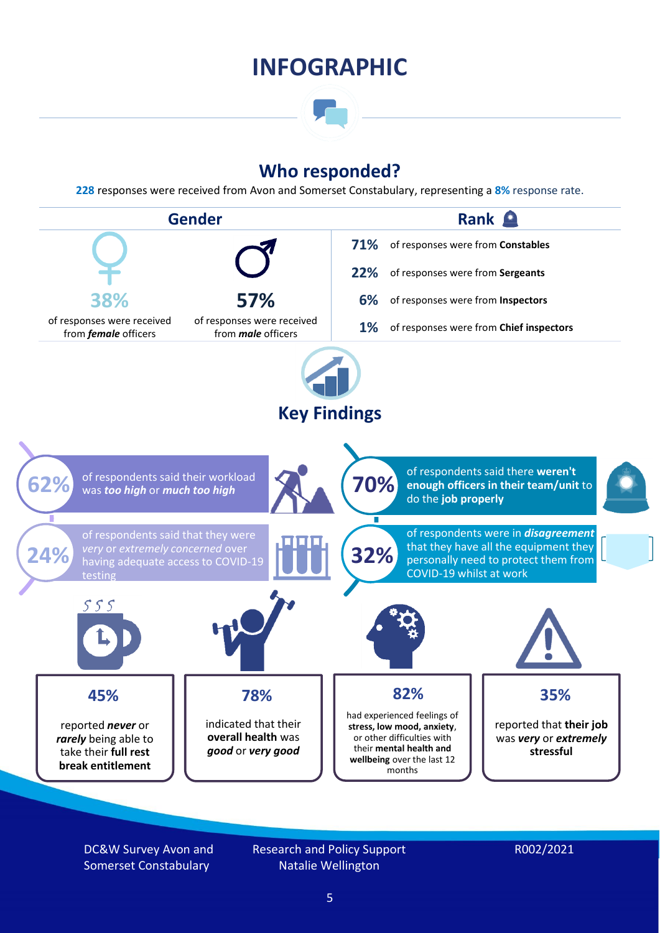### **INFOGRAPHIC**

### **Who responded?**

**228** responses were received from Avon and Somerset Constabulary, representing a **8%** response rate.



DC&W Survey Avon and Somerset Constabulary

Research and Policy Support Natalie Wellington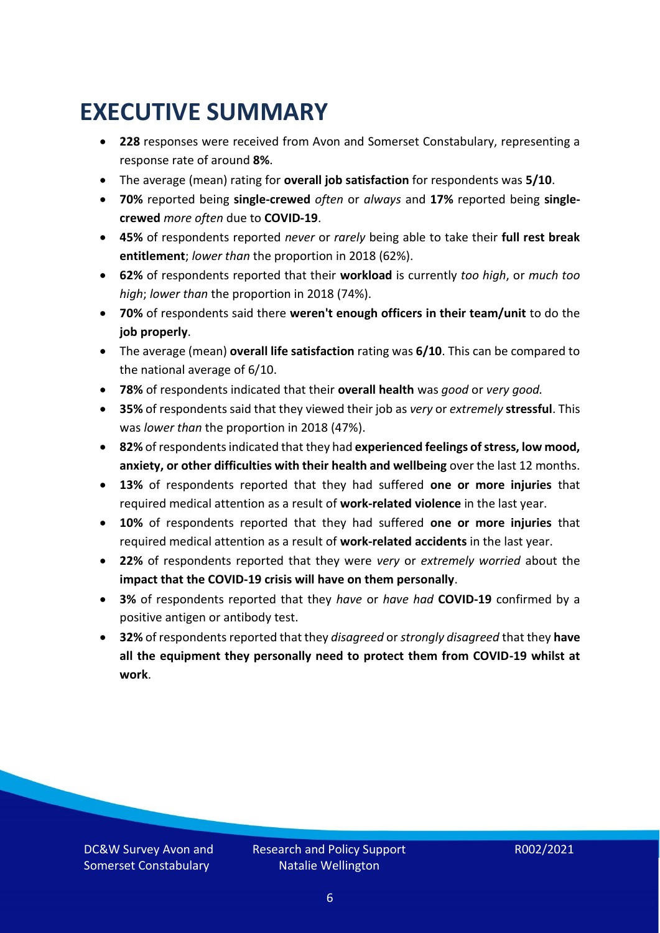### <span id="page-5-0"></span>**EXECUTIVE SUMMARY**

- **228** responses were received from Avon and Somerset Constabulary, representing a response rate of around **8%**.
- The average (mean) rating for **overall job satisfaction** for respondents was **5/10**.
- **70%** reported being **single-crewed** *often* or *always* and **17%** reported being **singlecrewed** *more often* due to **COVID-19**.
- **45%** of respondents reported *never* or *rarely* being able to take their **full rest break entitlement**; *lower than* the proportion in 2018 (62%).
- **62%** of respondents reported that their **workload** is currently *too high*, or *much too high*; *lower than* the proportion in 2018 (74%).
- **70%** of respondents said there **weren't enough officers in their team/unit** to do the **job properly**.
- The average (mean) **overall life satisfaction** rating was **6/10**. This can be compared to the national average of 6/10.
- **78%** of respondents indicated that their **overall health** was *good* or *very good.*
- **35%** of respondents said that they viewed their job as *very* or *extremely* **stressful**. This was *lower than* the proportion in 2018 (47%).
- **82%** of respondents indicated that they had **experienced feelings of stress, low mood, anxiety, or other difficulties with their health and wellbeing** over the last 12 months.
- **13%** of respondents reported that they had suffered **one or more injuries** that required medical attention as a result of **work-related violence** in the last year.
- **10%** of respondents reported that they had suffered **one or more injuries** that required medical attention as a result of **work-related accidents** in the last year.
- **22%** of respondents reported that they were *very* or *extremely worried* about the **impact that the COVID-19 crisis will have on them personally**.
- **3%** of respondents reported that they *have* or *have had* **COVID-19** confirmed by a positive antigen or antibody test.
- **32%** of respondents reported that they *disagreed* or *strongly disagreed* that they **have all the equipment they personally need to protect them from COVID-19 whilst at work**.

DC&W Survey Avon and Somerset Constabulary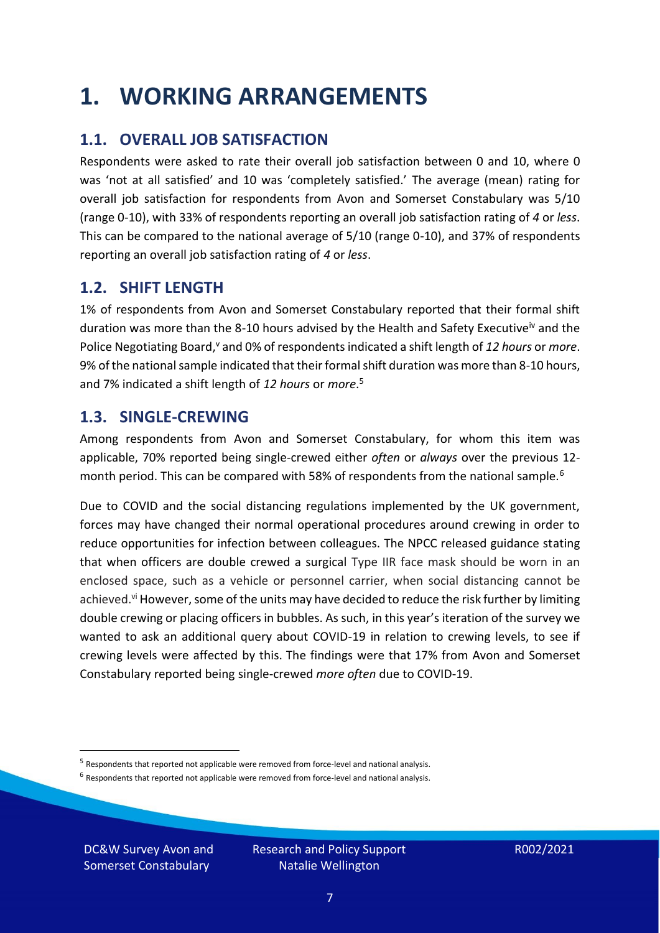### <span id="page-6-0"></span>**1. WORKING ARRANGEMENTS**

### **1.1. OVERALL JOB SATISFACTION**

Respondents were asked to rate their overall job satisfaction between 0 and 10, where 0 was 'not at all satisfied' and 10 was 'completely satisfied.' The average (mean) rating for overall job satisfaction for respondents from Avon and Somerset Constabulary was 5/10 (range 0-10), with 33% of respondents reporting an overall job satisfaction rating of *4* or *less*. This can be compared to the national average of 5/10 (range 0-10), and 37% of respondents reporting an overall job satisfaction rating of *4* or *less*.

### **1.2. SHIFT LENGTH**

1% of respondents from Avon and Somerset Constabulary reported that their formal shift duration was more than the 8-10 hours advised by the Health and Safety Executive<sup>iv</sup> and the Police Negotiating Board,<sup>v</sup> and 0% of respondents indicated a shift length of 12 hours or *more*. 9% of the national sample indicated that their formal shift duration was more than 8-10 hours, and 7% indicated a shift length of *12 hours* or *more*. 5

#### **1.3. SINGLE-CREWING**

Among respondents from Avon and Somerset Constabulary, for whom this item was applicable, 70% reported being single-crewed either *often* or *always* over the previous 12 month period. This can be compared with 58% of respondents from the national sample.<sup>6</sup>

Due to COVID and the social distancing regulations implemented by the UK government, forces may have changed their normal operational procedures around crewing in order to reduce opportunities for infection between colleagues. The NPCC released guidance stating that when officers are double crewed a surgical Type IIR face mask should be worn in an enclosed space, such as a vehicle or personnel carrier, when social distancing cannot be achieved.<sup>vi</sup> However, some of the units may have decided to reduce the risk further by limiting double crewing or placing officers in bubbles. As such, in this year's iteration of the survey we wanted to ask an additional query about COVID-19 in relation to crewing levels, to see if crewing levels were affected by this. The findings were that 17% from Avon and Somerset Constabulary reported being single-crewed *more often* due to COVID-19.

 $<sup>6</sup>$  Respondents that reported not applicable were removed from force-level and national analysis.</sup>

DC&W Survey Avon and Somerset Constabulary

<sup>&</sup>lt;sup>5</sup> Respondents that reported not applicable were removed from force-level and national analysis.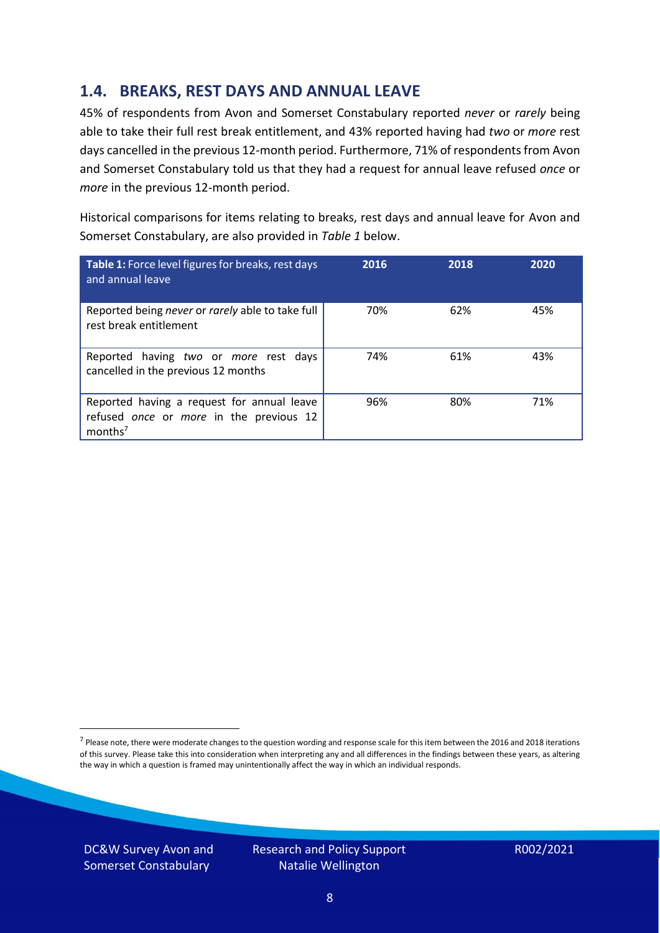### **1.4. BREAKS, REST DAYS AND ANNUAL LEAVE**

45% of respondents from Avon and Somerset Constabulary reported *never* or *rarely* being able to take their full rest break entitlement, and 43% reported having had *two* or *more* rest days cancelled in the previous 12-month period. Furthermore, 71% of respondents from Avon and Somerset Constabulary told us that they had a request for annual leave refused *once* or *more* in the previous 12-month period.

Historical comparisons for items relating to breaks, rest days and annual leave for Avon and Somerset Constabulary, are also provided in *Table 1* below.

| Table 1: Force level figures for breaks, rest days<br>and annual leave                                       | 2016 | 2018 | 2020 |
|--------------------------------------------------------------------------------------------------------------|------|------|------|
| Reported being never or rarely able to take full<br>rest break entitlement                                   | 70%  | 62%  | 45%  |
| Reported having two or more rest days<br>cancelled in the previous 12 months                                 | 74%  | 61%  | 43%  |
| Reported having a request for annual leave<br>refused once or more in the previous 12<br>months <sup>7</sup> | 96%  | 80%  | 71%  |

DC&W Survey Avon and Somerset Constabulary



<sup>&</sup>lt;sup>7</sup> Please note, there were moderate changes to the question wording and response scale for this item between the 2016 and 2018 iterations of this survey. Please take this into consideration when interpreting any and all differences in the findings between these years, as altering the way in which a question is framed may unintentionally affect the way in which an individual responds.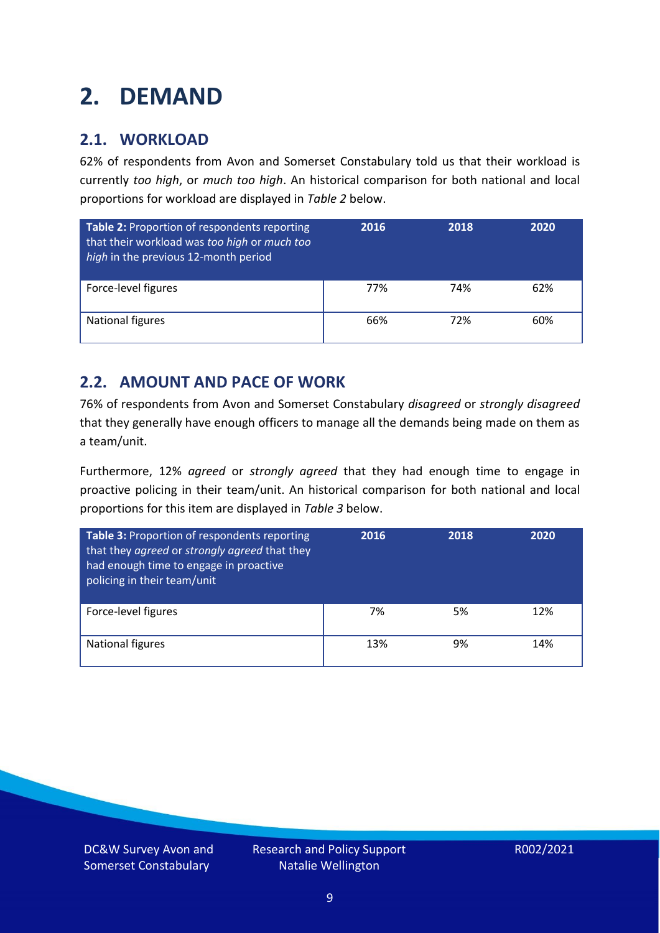# <span id="page-8-0"></span>**2. DEMAND**

### **2.1. WORKLOAD**

62% of respondents from Avon and Somerset Constabulary told us that their workload is currently *too high*, or *much too high*. An historical comparison for both national and local proportions for workload are displayed in *Table 2* below.

| Table 2: Proportion of respondents reporting<br>that their workload was too high or much too<br>high in the previous 12-month period | 2016 | 2018 | 2020 |
|--------------------------------------------------------------------------------------------------------------------------------------|------|------|------|
| Force-level figures                                                                                                                  | 77%  | 74%  | 62%  |
| National figures                                                                                                                     | 66%  | 72%  | 60%  |

### **2.2. AMOUNT AND PACE OF WORK**

76% of respondents from Avon and Somerset Constabulary *disagreed* or *strongly disagreed* that they generally have enough officers to manage all the demands being made on them as a team/unit.

Furthermore, 12% *agreed* or *strongly agreed* that they had enough time to engage in proactive policing in their team/unit. An historical comparison for both national and local proportions for this item are displayed in *Table 3* below.

| Table 3: Proportion of respondents reporting<br>that they agreed or strongly agreed that they<br>had enough time to engage in proactive<br>policing in their team/unit | 2016 | 2018 | 2020 |
|------------------------------------------------------------------------------------------------------------------------------------------------------------------------|------|------|------|
| Force-level figures                                                                                                                                                    | 7%   | 5%   | 12%  |
| National figures                                                                                                                                                       | 13%  | 9%   | 14%  |

DC&W Survey Avon and Somerset Constabulary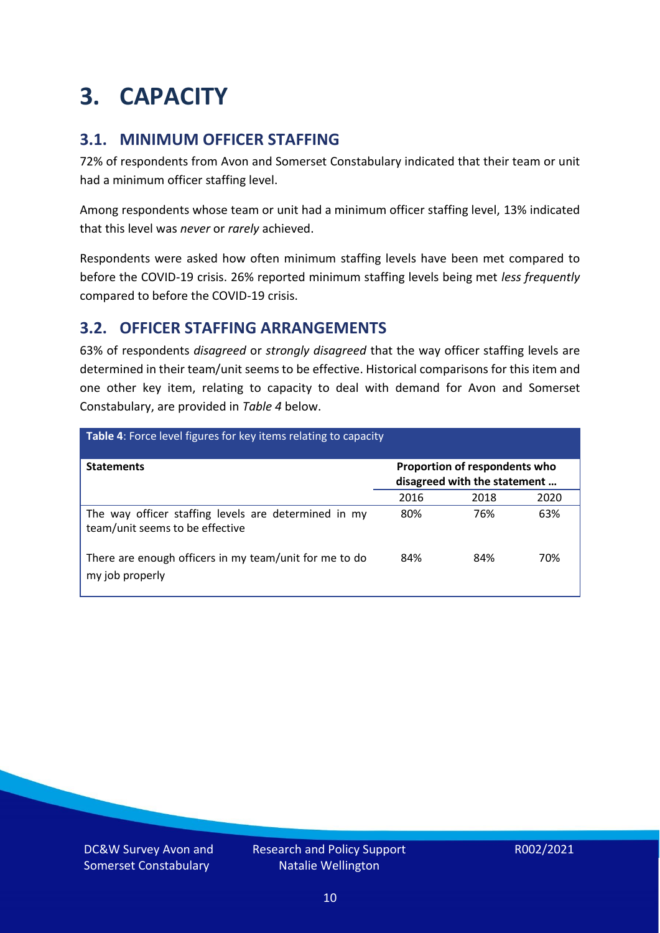### <span id="page-9-0"></span>**3. CAPACITY**

### **3.1. MINIMUM OFFICER STAFFING**

72% of respondents from Avon and Somerset Constabulary indicated that their team or unit had a minimum officer staffing level.

Among respondents whose team or unit had a minimum officer staffing level, 13% indicated that this level was *never* or *rarely* achieved.

Respondents were asked how often minimum staffing levels have been met compared to before the COVID-19 crisis. 26% reported minimum staffing levels being met *less frequently* compared to before the COVID-19 crisis.

### **3.2. OFFICER STAFFING ARRANGEMENTS**

63% of respondents *disagreed* or *strongly disagreed* that the way officer staffing levels are determined in their team/unit seems to be effective. Historical comparisons for this item and one other key item, relating to capacity to deal with demand for Avon and Somerset Constabulary, are provided in *Table 4* below.

| Table 4: Force level figures for key items relating to capacity                         |      |                                                               |      |
|-----------------------------------------------------------------------------------------|------|---------------------------------------------------------------|------|
| <b>Statements</b>                                                                       |      | Proportion of respondents who<br>disagreed with the statement |      |
|                                                                                         | 2016 | 2018                                                          | 2020 |
| The way officer staffing levels are determined in my<br>team/unit seems to be effective | 80%  | 76%                                                           | 63%  |
| There are enough officers in my team/unit for me to do<br>my job properly               | 84%  | 84%                                                           | 70%  |

DC&W Survey Avon and Somerset Constabulary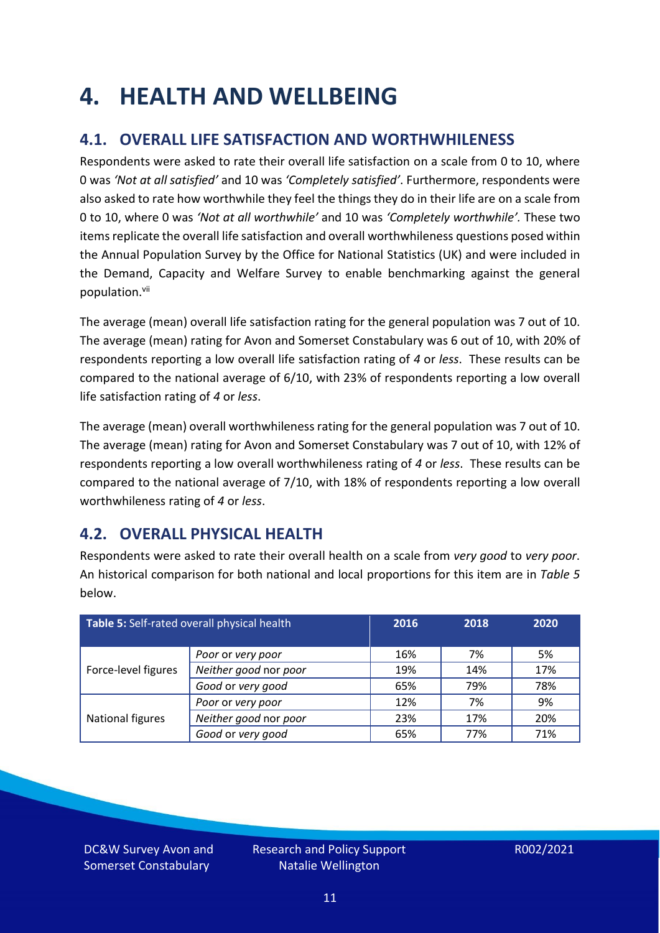### <span id="page-10-0"></span>**4. HEALTH AND WELLBEING**

### **4.1. OVERALL LIFE SATISFACTION AND WORTHWHILENESS**

Respondents were asked to rate their overall life satisfaction on a scale from 0 to 10, where 0 was *'Not at all satisfied'* and 10 was *'Completely satisfied'*. Furthermore, respondents were also asked to rate how worthwhile they feel the things they do in their life are on a scale from 0 to 10, where 0 was *'Not at all worthwhile'* and 10 was *'Completely worthwhile'.* These two items replicate the overall life satisfaction and overall worthwhileness questions posed within the Annual Population Survey by the Office for National Statistics (UK) and were included in the Demand, Capacity and Welfare Survey to enable benchmarking against the general population. vii

The average (mean) overall life satisfaction rating for the general population was 7 out of 10. The average (mean) rating for Avon and Somerset Constabulary was 6 out of 10, with 20% of respondents reporting a low overall life satisfaction rating of *4* or *less*. These results can be compared to the national average of 6/10, with 23% of respondents reporting a low overall life satisfaction rating of *4* or *less*.

The average (mean) overall worthwhileness rating for the general population was 7 out of 10. The average (mean) rating for Avon and Somerset Constabulary was 7 out of 10, with 12% of respondents reporting a low overall worthwhileness rating of *4* or *less*. These results can be compared to the national average of 7/10, with 18% of respondents reporting a low overall worthwhileness rating of *4* or *less*.

### **4.2. OVERALL PHYSICAL HEALTH**

Respondents were asked to rate their overall health on a scale from *very good* to *very poor*. An historical comparison for both national and local proportions for this item are in *Table 5* below.

| Table 5: Self-rated overall physical health |                       | 2016 | 2018 | 2020 |
|---------------------------------------------|-----------------------|------|------|------|
|                                             | Poor or very poor     | 16%  | 7%   | 5%   |
| Force-level figures                         | Neither good nor poor | 19%  | 14%  | 17%  |
|                                             | Good or very good     | 65%  | 79%  | 78%  |
|                                             | Poor or very poor     | 12%  | 7%   | 9%   |
| National figures                            | Neither good nor poor | 23%  | 17%  | 20%  |
|                                             | Good or very good     | 65%  | 77%  | 71%  |

DC&W Survey Avon and Somerset Constabulary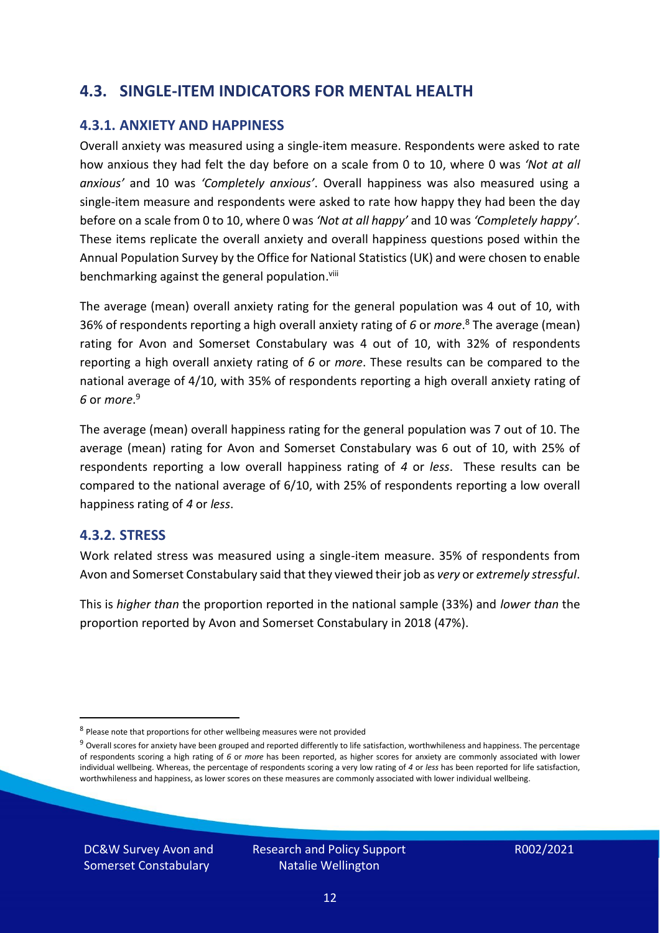#### **4.3. SINGLE-ITEM INDICATORS FOR MENTAL HEALTH**

#### **4.3.1. ANXIETY AND HAPPINESS**

Overall anxiety was measured using a single-item measure. Respondents were asked to rate how anxious they had felt the day before on a scale from 0 to 10, where 0 was *'Not at all anxious'* and 10 was *'Completely anxious'*. Overall happiness was also measured using a single-item measure and respondents were asked to rate how happy they had been the day before on a scale from 0 to 10, where 0 was *'Not at all happy'* and 10 was *'Completely happy'*. These items replicate the overall anxiety and overall happiness questions posed within the Annual Population Survey by the Office for National Statistics (UK) and were chosen to enable benchmarking against the general population.<sup>viii</sup>

The average (mean) overall anxiety rating for the general population was 4 out of 10, with 36% of respondents reporting a high overall anxiety rating of *6* or *more*. <sup>8</sup> The average (mean) rating for Avon and Somerset Constabulary was 4 out of 10, with 32% of respondents reporting a high overall anxiety rating of *6* or *more*. These results can be compared to the national average of 4/10, with 35% of respondents reporting a high overall anxiety rating of *6* or *more*. 9

The average (mean) overall happiness rating for the general population was 7 out of 10. The average (mean) rating for Avon and Somerset Constabulary was 6 out of 10, with 25% of respondents reporting a low overall happiness rating of *4* or *less*. These results can be compared to the national average of 6/10, with 25% of respondents reporting a low overall happiness rating of *4* or *less*.

#### **4.3.2. STRESS**

Work related stress was measured using a single-item measure. 35% of respondents from Avon and Somerset Constabulary said that they viewed their job as *very* or *extremely stressful*.

This is *higher than* the proportion reported in the national sample (33%) and *lower than* the proportion reported by Avon and Somerset Constabulary in 2018 (47%).

DC&W Survey Avon and Somerset Constabulary

<sup>&</sup>lt;sup>8</sup> Please note that proportions for other wellbeing measures were not provided

 $9$  Overall scores for anxiety have been grouped and reported differently to life satisfaction, worthwhileness and happiness. The percentage of respondents scoring a high rating of *6* or *more* has been reported, as higher scores for anxiety are commonly associated with lower individual wellbeing. Whereas, the percentage of respondents scoring a very low rating of *4* or *less* has been reported for life satisfaction, worthwhileness and happiness, as lower scores on these measures are commonly associated with lower individual wellbeing.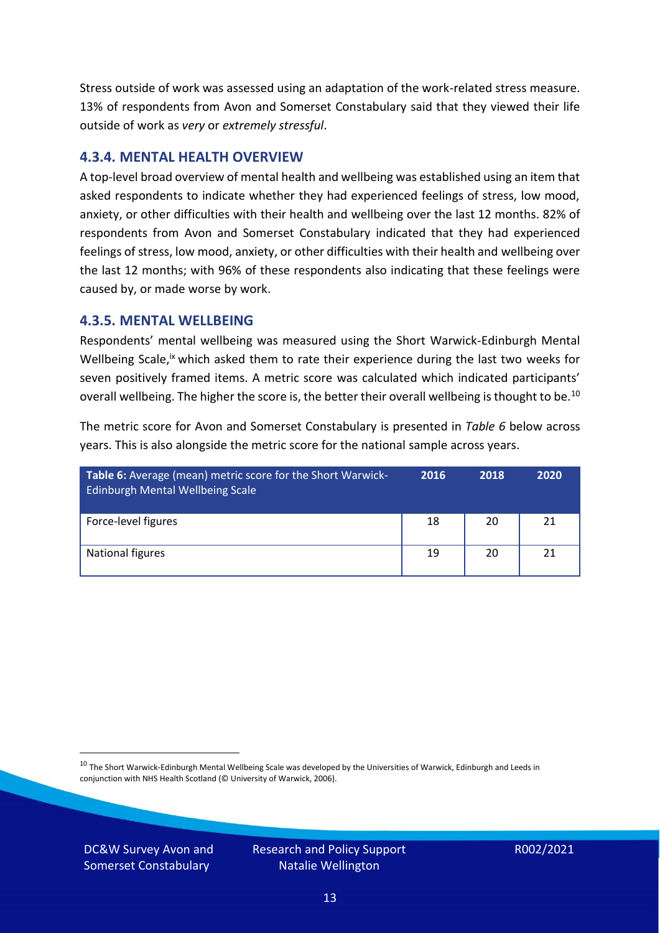Stress outside of work was assessed using an adaptation of the work-related stress measure. 13% of respondents from Avon and Somerset Constabulary said that they viewed their life outside of work as *very* or *extremely stressful*.

#### **4.3.4. MENTAL HEALTH OVERVIEW**

A top-level broad overview of mental health and wellbeing was established using an item that asked respondents to indicate whether they had experienced feelings of stress, low mood, anxiety, or other difficulties with their health and wellbeing over the last 12 months. 82% of respondents from Avon and Somerset Constabulary indicated that they had experienced feelings of stress, low mood, anxiety, or other difficulties with their health and wellbeing over the last 12 months; with 96% of these respondents also indicating that these feelings were caused by, or made worse by work.

#### **4.3.5. MENTAL WELLBEING**

Respondents' mental wellbeing was measured using the Short Warwick-Edinburgh Mental Wellbeing Scale,<sup>ix</sup> which asked them to rate their experience during the last two weeks for seven positively framed items. A metric score was calculated which indicated participants' overall wellbeing. The higher the score is, the better their overall wellbeing is thought to be.<sup>10</sup>

The metric score for Avon and Somerset Constabulary is presented in *Table 6* below across years. This is also alongside the metric score for the national sample across years.

| Table 6: Average (mean) metric score for the Short Warwick-<br><b>Edinburgh Mental Wellbeing Scale</b> | 2016 | 2018 | 2020 |
|--------------------------------------------------------------------------------------------------------|------|------|------|
| Force-level figures                                                                                    | 18   | 20   | 21   |
| National figures                                                                                       | 19   | 20   | 21   |

 $10$  The Short Warwick-Edinburgh Mental Wellbeing Scale was developed by the Universities of Warwick, Edinburgh and Leeds in conjunction with NHS Health Scotland (© University of Warwick, 2006).

DC&W Survey Avon and Somerset Constabulary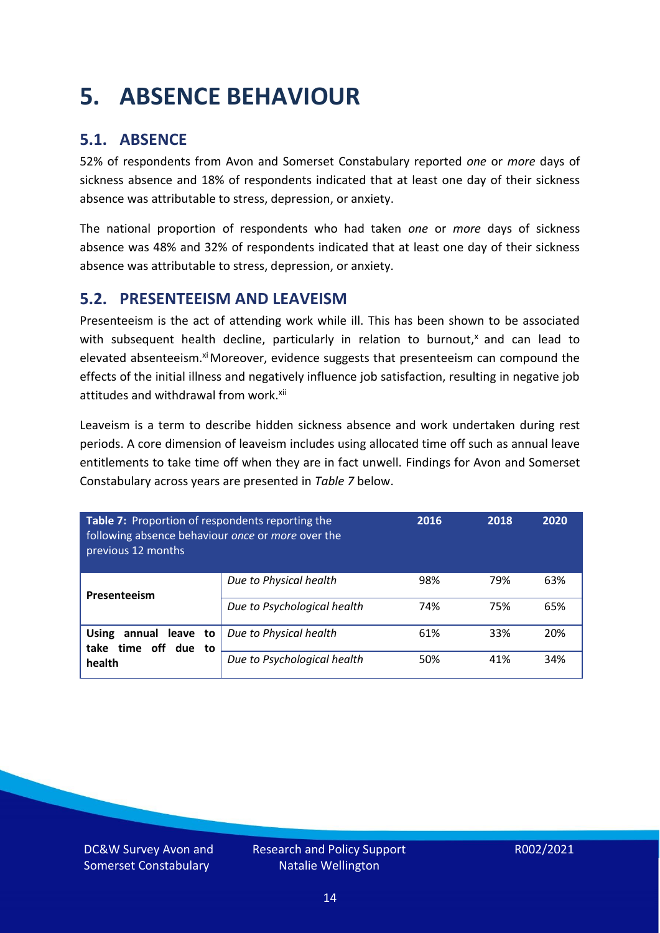# <span id="page-13-0"></span>**5. ABSENCE BEHAVIOUR**

### **5.1. ABSENCE**

52% of respondents from Avon and Somerset Constabulary reported *one* or *more* days of sickness absence and 18% of respondents indicated that at least one day of their sickness absence was attributable to stress, depression, or anxiety.

The national proportion of respondents who had taken *one* or *more* days of sickness absence was 48% and 32% of respondents indicated that at least one day of their sickness absence was attributable to stress, depression, or anxiety.

#### **5.2. PRESENTEEISM AND LEAVEISM**

Presenteeism is the act of attending work while ill. This has been shown to be associated with subsequent health decline, particularly in relation to burnout, $x$  and can lead to elevated absenteeism.<sup>xi</sup> Moreover, evidence suggests that presenteeism can compound the effects of the initial illness and negatively influence job satisfaction, resulting in negative job attitudes and withdrawal from work.<sup>xii</sup>

Leaveism is a term to describe hidden sickness absence and work undertaken during rest periods. A core dimension of leaveism includes using allocated time off such as annual leave entitlements to take time off when they are in fact unwell. Findings for Avon and Somerset Constabulary across years are presented in *Table 7* below.

| Table 7: Proportion of respondents reporting the<br>following absence behaviour once or more over the<br>previous 12 months |                             | 2016 | 2018 | 2020 |
|-----------------------------------------------------------------------------------------------------------------------------|-----------------------------|------|------|------|
| Presenteeism                                                                                                                | Due to Physical health      | 98%  | 79%  | 63%  |
|                                                                                                                             | Due to Psychological health | 74%  | 75%  | 65%  |
| <b>Using</b><br>annual leave to<br>time off due to<br>take                                                                  | Due to Physical health      | 61%  | 33%  | 20%  |
| health                                                                                                                      | Due to Psychological health | 50%  | 41%  | 34%  |

DC&W Survey Avon and Somerset Constabulary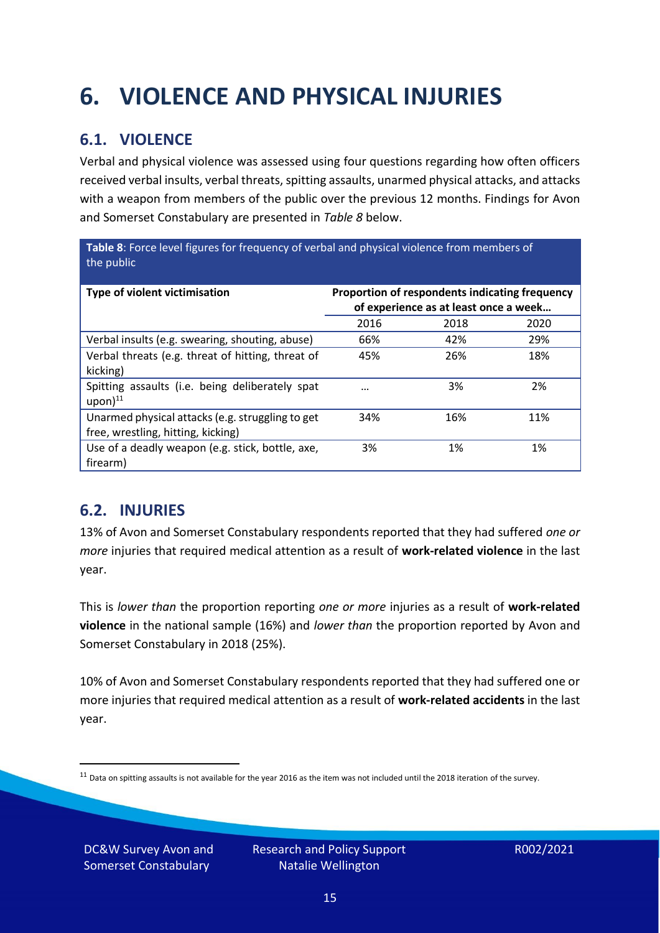# <span id="page-14-0"></span>**6. VIOLENCE AND PHYSICAL INJURIES**

### **6.1. VIOLENCE**

Verbal and physical violence was assessed using four questions regarding how often officers received verbal insults, verbal threats, spitting assaults, unarmed physical attacks, and attacks with a weapon from members of the public over the previous 12 months. Findings for Avon and Somerset Constabulary are presented in *Table 8* below.

**Table 8**: Force level figures for frequency of verbal and physical violence from members of the public

| Type of violent victimisation                                                          | Proportion of respondents indicating frequency<br>of experience as at least once a week |      |      |
|----------------------------------------------------------------------------------------|-----------------------------------------------------------------------------------------|------|------|
|                                                                                        | 2016                                                                                    | 2018 | 2020 |
| Verbal insults (e.g. swearing, shouting, abuse)                                        | 66%                                                                                     | 42%  | 29%  |
| Verbal threats (e.g. threat of hitting, threat of<br>kicking)                          | 45%                                                                                     | 26%  | 18%  |
| Spitting assaults (i.e. being deliberately spat<br>$upon)$ <sup>11</sup>               |                                                                                         | 3%   | 2%   |
| Unarmed physical attacks (e.g. struggling to get<br>free, wrestling, hitting, kicking) | 34%                                                                                     | 16%  | 11%  |
| Use of a deadly weapon (e.g. stick, bottle, axe,<br>firearm)                           | 3%                                                                                      | 1%   | 1%   |

### **6.2. INJURIES**

13% of Avon and Somerset Constabulary respondents reported that they had suffered *one or more* injuries that required medical attention as a result of **work-related violence** in the last year.

This is *lower than* the proportion reporting *one or more* injuries as a result of **work-related violence** in the national sample (16%) and *lower than* the proportion reported by Avon and Somerset Constabulary in 2018 (25%).

10% of Avon and Somerset Constabulary respondents reported that they had suffered one or more injuries that required medical attention as a result of **work-related accidents** in the last year.

DC&W Survey Avon and Somerset Constabulary

 $11$  Data on spitting assaults is not available for the year 2016 as the item was not included until the 2018 iteration of the survey.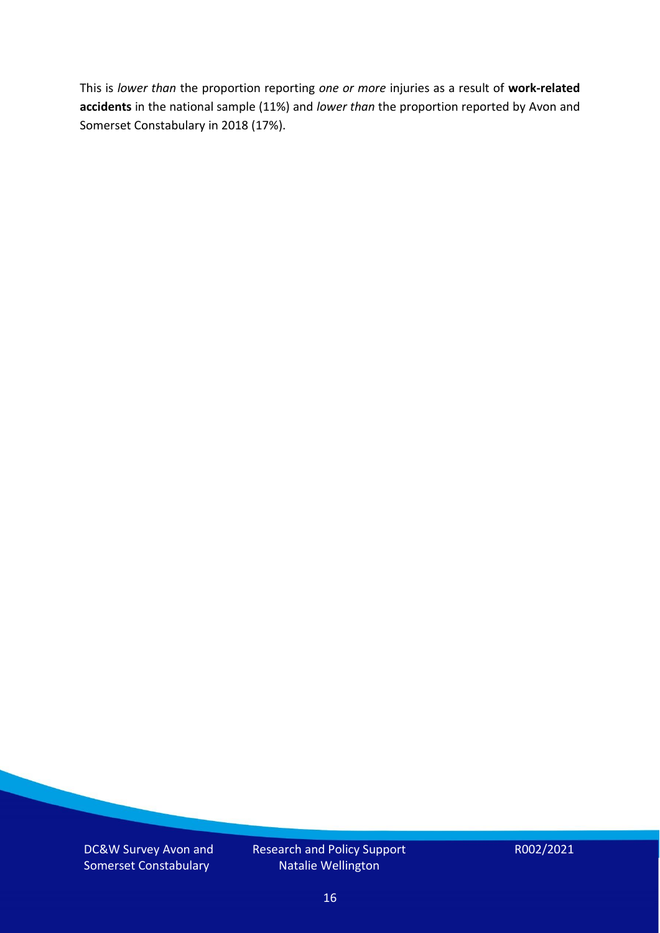This is *lower than* the proportion reporting *one or more* injuries as a result of **work-related accidents** in the national sample (11%) and *lower than* the proportion reported by Avon and Somerset Constabulary in 2018 (17%).

DC&W Survey Avon and Somerset Constabulary

Research and Policy Support Natalie Wellington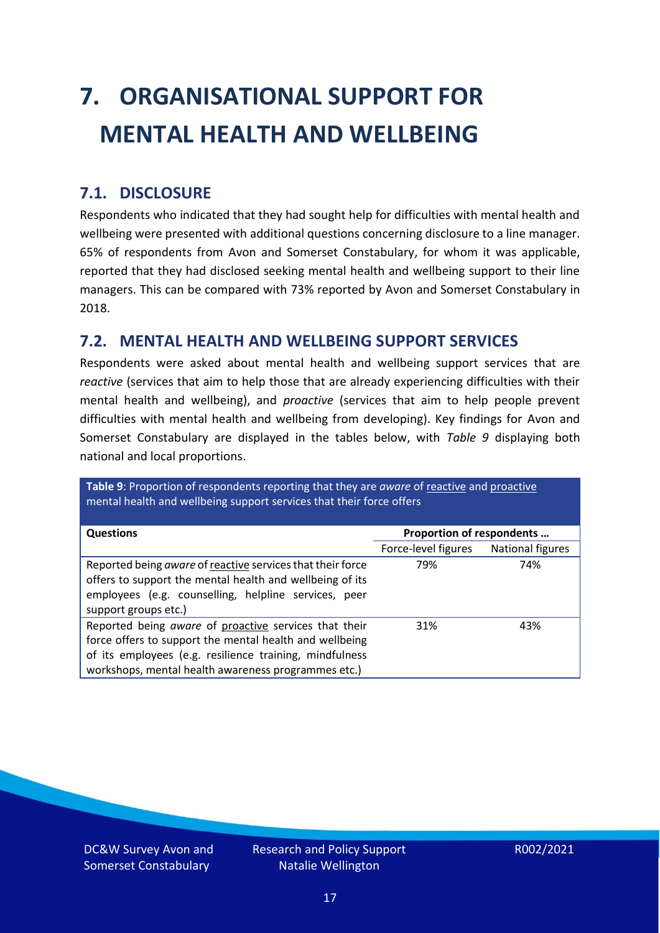# <span id="page-16-0"></span>**7. ORGANISATIONAL SUPPORT FOR MENTAL HEALTH AND WELLBEING**

### **7.1. DISCLOSURE**

Respondents who indicated that they had sought help for difficulties with mental health and wellbeing were presented with additional questions concerning disclosure to a line manager. 65% of respondents from Avon and Somerset Constabulary, for whom it was applicable, reported that they had disclosed seeking mental health and wellbeing support to their line managers. This can be compared with 73% reported by Avon and Somerset Constabulary in 2018.

#### **7.2. MENTAL HEALTH AND WELLBEING SUPPORT SERVICES**

Respondents were asked about mental health and wellbeing support services that are *reactive* (services that aim to help those that are already experiencing difficulties with their mental health and wellbeing), and *proactive* (services that aim to help people prevent difficulties with mental health and wellbeing from developing). Key findings for Avon and Somerset Constabulary are displayed in the tables below, with *Table 9* displaying both national and local proportions.

**Table 9**: Proportion of respondents reporting that they are *aware* of reactive and proactive mental health and wellbeing support services that their force offers

| <b>Questions</b>                                           | Proportion of respondents |                  |  |
|------------------------------------------------------------|---------------------------|------------------|--|
|                                                            | Force-level figures       | National figures |  |
| Reported being aware of reactive services that their force | 79%                       | 74%              |  |
| offers to support the mental health and wellbeing of its   |                           |                  |  |
| employees (e.g. counselling, helpline services, peer       |                           |                  |  |
| support groups etc.)                                       |                           |                  |  |
| Reported being aware of proactive services that their      | 31%                       | 43%              |  |
| force offers to support the mental health and wellbeing    |                           |                  |  |
| of its employees (e.g. resilience training, mindfulness    |                           |                  |  |
| workshops, mental health awareness programmes etc.)        |                           |                  |  |

DC&W Survey Avon and Somerset Constabulary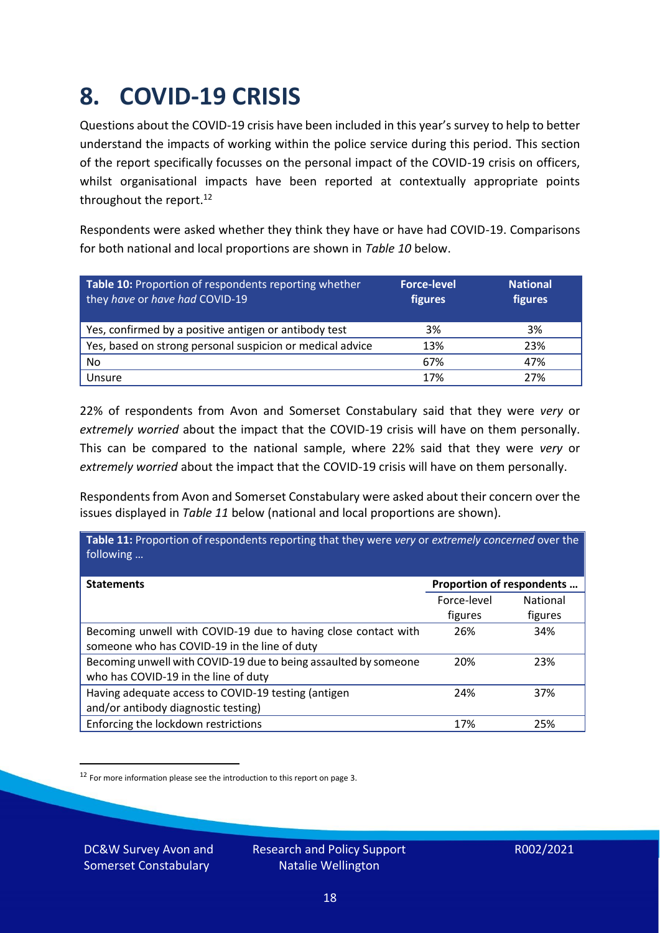### <span id="page-17-0"></span>**8. COVID-19 CRISIS**

Questions about the COVID-19 crisis have been included in this year's survey to help to better understand the impacts of working within the police service during this period. This section of the report specifically focusses on the personal impact of the COVID-19 crisis on officers, whilst organisational impacts have been reported at contextually appropriate points throughout the report.<sup>12</sup>

Respondents were asked whether they think they have or have had COVID-19. Comparisons for both national and local proportions are shown in *Table 10* below.

| Table 10: Proportion of respondents reporting whether<br>they have or have had COVID-19 | <b>Force-level</b><br>figures | <b>National</b><br>figures |
|-----------------------------------------------------------------------------------------|-------------------------------|----------------------------|
| Yes, confirmed by a positive antigen or antibody test                                   | 3%                            | 3%                         |
| Yes, based on strong personal suspicion or medical advice                               | 13%                           | 23%                        |
| No                                                                                      | 67%                           | 47%                        |
| Unsure                                                                                  | 17%                           | 27%                        |

22% of respondents from Avon and Somerset Constabulary said that they were *very* or *extremely worried* about the impact that the COVID-19 crisis will have on them personally. This can be compared to the national sample, where 22% said that they were *very* or *extremely worried* about the impact that the COVID-19 crisis will have on them personally.

Respondents from Avon and Somerset Constabulary were asked about their concern over the issues displayed in *Table 11* below (national and local proportions are shown).

| Table 11: Proportion of respondents reporting that they were very or extremely concerned over the<br>following |                           |                 |
|----------------------------------------------------------------------------------------------------------------|---------------------------|-----------------|
| <b>Statements</b>                                                                                              | Proportion of respondents |                 |
|                                                                                                                | Force-level               | <b>National</b> |
|                                                                                                                | figures                   | figures         |
| Becoming unwell with COVID-19 due to having close contact with                                                 | 26%                       | 34%             |
| someone who has COVID-19 in the line of duty                                                                   |                           |                 |
| Becoming unwell with COVID-19 due to being assaulted by someone                                                | 20%                       | 23%             |
| who has COVID-19 in the line of duty                                                                           |                           |                 |
| Having adequate access to COVID-19 testing (antigen                                                            | 24%                       | 37%             |
| and/or antibody diagnostic testing)                                                                            |                           |                 |
| Enforcing the lockdown restrictions                                                                            | 17%                       | 25%             |

<sup>12</sup> For more information please see the introduction to this report on page 3.

DC&W Survey Avon and Somerset Constabulary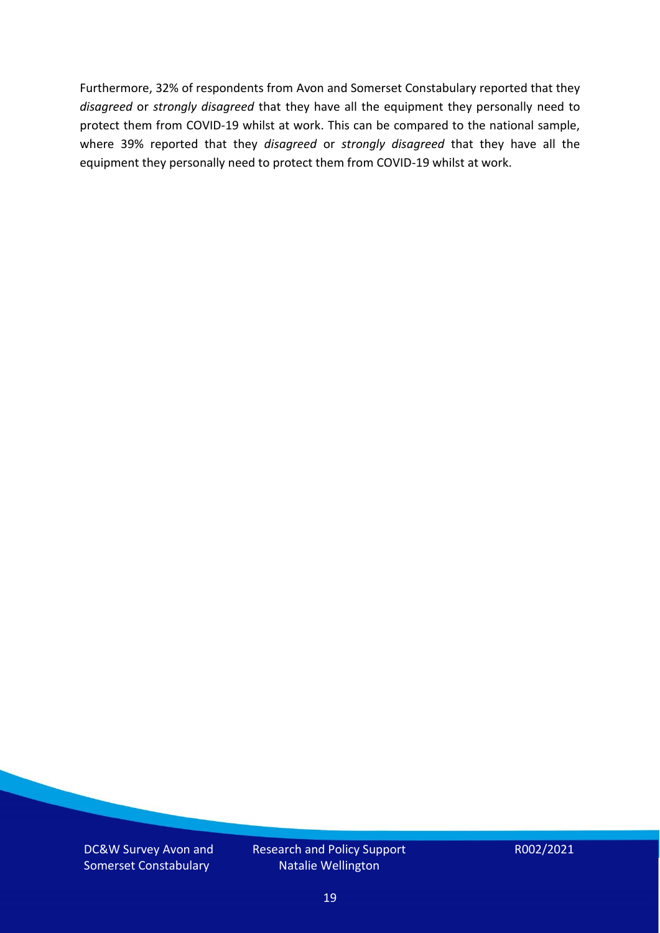Furthermore, 32% of respondents from Avon and Somerset Constabulary reported that they *disagreed* or *strongly disagreed* that they have all the equipment they personally need to protect them from COVID-19 whilst at work. This can be compared to the national sample, where 39% reported that they *disagreed* or *strongly disagreed* that they have all the equipment they personally need to protect them from COVID-19 whilst at work.

DC&W Survey Avon and Somerset Constabulary

Research and Policy Support Natalie Wellington